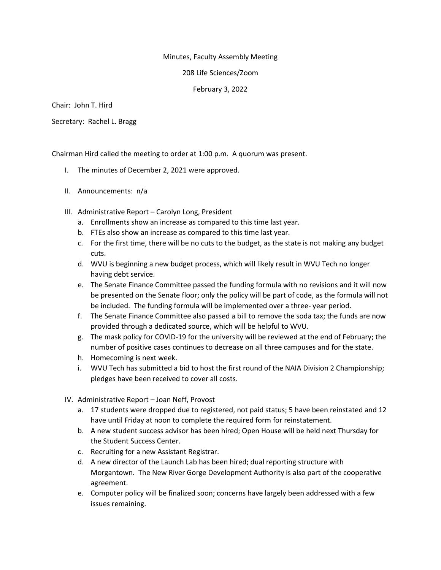## Minutes, Faculty Assembly Meeting

208 Life Sciences/Zoom

February 3, 2022

Chair: John T. Hird

Secretary: Rachel L. Bragg

Chairman Hird called the meeting to order at 1:00 p.m. A quorum was present.

- I. The minutes of December 2, 2021 were approved.
- II. Announcements: n/a
- III. Administrative Report Carolyn Long, President
	- a. Enrollments show an increase as compared to this time last year.
	- b. FTEs also show an increase as compared to this time last year.
	- c. For the first time, there will be no cuts to the budget, as the state is not making any budget cuts.
	- d. WVU is beginning a new budget process, which will likely result in WVU Tech no longer having debt service.
	- e. The Senate Finance Committee passed the funding formula with no revisions and it will now be presented on the Senate floor; only the policy will be part of code, as the formula will not be included. The funding formula will be implemented over a three- year period.
	- f. The Senate Finance Committee also passed a bill to remove the soda tax; the funds are now provided through a dedicated source, which will be helpful to WVU.
	- g. The mask policy for COVID-19 for the university will be reviewed at the end of February; the number of positive cases continues to decrease on all three campuses and for the state.
	- h. Homecoming is next week.
	- i. WVU Tech has submitted a bid to host the first round of the NAIA Division 2 Championship; pledges have been received to cover all costs.
- IV. Administrative Report Joan Neff, Provost
	- a. 17 students were dropped due to registered, not paid status; 5 have been reinstated and 12 have until Friday at noon to complete the required form for reinstatement.
	- b. A new student success advisor has been hired; Open House will be held next Thursday for the Student Success Center.
	- c. Recruiting for a new Assistant Registrar.
	- d. A new director of the Launch Lab has been hired; dual reporting structure with Morgantown. The New River Gorge Development Authority is also part of the cooperative agreement.
	- e. Computer policy will be finalized soon; concerns have largely been addressed with a few issues remaining.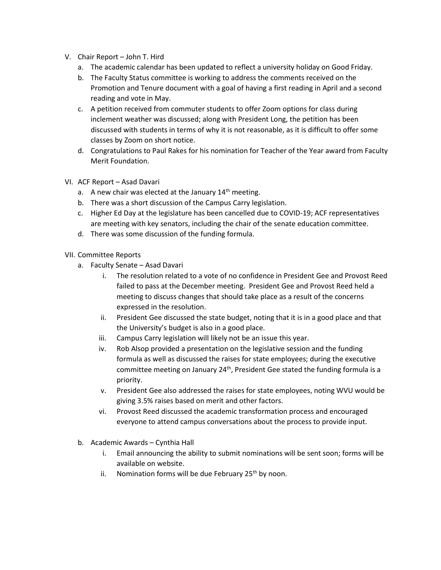- V. Chair Report John T. Hird
	- a. The academic calendar has been updated to reflect a university holiday on Good Friday.
	- b. The Faculty Status committee is working to address the comments received on the Promotion and Tenure document with a goal of having a first reading in April and a second reading and vote in May.
	- c. A petition received from commuter students to offer Zoom options for class during inclement weather was discussed; along with President Long, the petition has been discussed with students in terms of why it is not reasonable, as it is difficult to offer some classes by Zoom on short notice.
	- d. Congratulations to Paul Rakes for his nomination for Teacher of the Year award from Faculty Merit Foundation.
- VI. ACF Report Asad Davari
	- a. A new chair was elected at the January  $14<sup>th</sup>$  meeting.
	- b. There was a short discussion of the Campus Carry legislation.
	- c. Higher Ed Day at the legislature has been cancelled due to COVID-19; ACF representatives are meeting with key senators, including the chair of the senate education committee.
	- d. There was some discussion of the funding formula.

## VII. Committee Reports

- a. Faculty Senate Asad Davari
	- i. The resolution related to a vote of no confidence in President Gee and Provost Reed failed to pass at the December meeting. President Gee and Provost Reed held a meeting to discuss changes that should take place as a result of the concerns expressed in the resolution.
	- ii. President Gee discussed the state budget, noting that it is in a good place and that the University's budget is also in a good place.
	- iii. Campus Carry legislation will likely not be an issue this year.
	- iv. Rob Alsop provided a presentation on the legislative session and the funding formula as well as discussed the raises for state employees; during the executive committee meeting on January 24<sup>th</sup>, President Gee stated the funding formula is a priority.
	- v. President Gee also addressed the raises for state employees, noting WVU would be giving 3.5% raises based on merit and other factors.
	- vi. Provost Reed discussed the academic transformation process and encouraged everyone to attend campus conversations about the process to provide input.
- b. Academic Awards Cynthia Hall
	- i. Email announcing the ability to submit nominations will be sent soon; forms will be available on website.
	- ii. Nomination forms will be due February  $25<sup>th</sup>$  by noon.